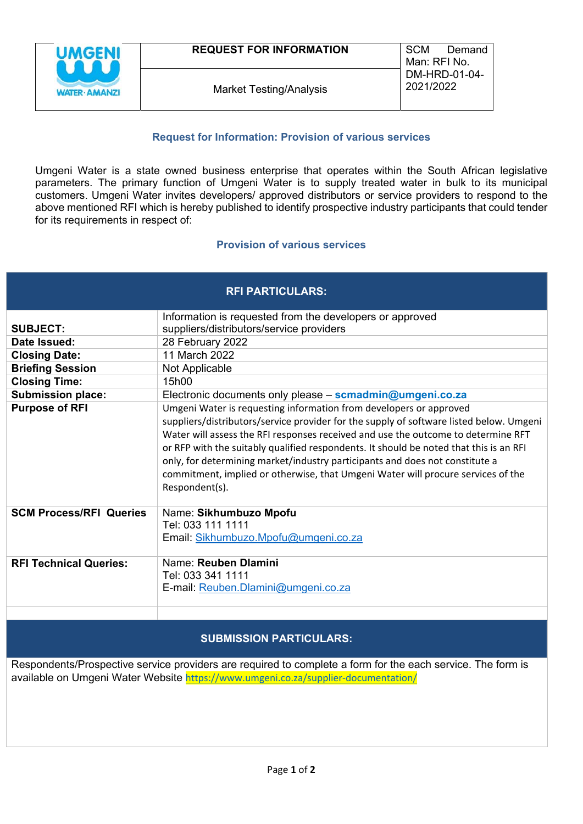

## **Request for Information: Provision of various services**

Umgeni Water is a state owned business enterprise that operates within the South African legislative parameters. The primary function of Umgeni Water is to supply treated water in bulk to its municipal customers. Umgeni Water invites developers/ approved distributors or service providers to respond to the above mentioned RFI which is hereby published to identify prospective industry participants that could tender for its requirements in respect of:

## **Provision of various services**

| <b>RFI PARTICULARS:</b>        |                                                                                                                                                                                                                                                                                                                                                                                                                                                                                                                                    |
|--------------------------------|------------------------------------------------------------------------------------------------------------------------------------------------------------------------------------------------------------------------------------------------------------------------------------------------------------------------------------------------------------------------------------------------------------------------------------------------------------------------------------------------------------------------------------|
|                                | Information is requested from the developers or approved                                                                                                                                                                                                                                                                                                                                                                                                                                                                           |
| <b>SUBJECT:</b>                | suppliers/distributors/service providers                                                                                                                                                                                                                                                                                                                                                                                                                                                                                           |
| Date Issued:                   | 28 February 2022                                                                                                                                                                                                                                                                                                                                                                                                                                                                                                                   |
| <b>Closing Date:</b>           | 11 March 2022                                                                                                                                                                                                                                                                                                                                                                                                                                                                                                                      |
| <b>Briefing Session</b>        | Not Applicable                                                                                                                                                                                                                                                                                                                                                                                                                                                                                                                     |
| <b>Closing Time:</b>           | 15h00                                                                                                                                                                                                                                                                                                                                                                                                                                                                                                                              |
| <b>Submission place:</b>       | Electronic documents only please – scmadmin@umgeni.co.za                                                                                                                                                                                                                                                                                                                                                                                                                                                                           |
| <b>Purpose of RFI</b>          | Umgeni Water is requesting information from developers or approved<br>suppliers/distributors/service provider for the supply of software listed below. Umgeni<br>Water will assess the RFI responses received and use the outcome to determine RFT<br>or RFP with the suitably qualified respondents. It should be noted that this is an RFI<br>only, for determining market/industry participants and does not constitute a<br>commitment, implied or otherwise, that Umgeni Water will procure services of the<br>Respondent(s). |
| <b>SCM Process/RFI Queries</b> | Name: Sikhumbuzo Mpofu<br>Tel: 033 111 1111<br>Email: Sikhumbuzo.Mpofu@umgeni.co.za                                                                                                                                                                                                                                                                                                                                                                                                                                                |
| <b>RFI Technical Queries:</b>  | Name: Reuben Dlamini<br>Tel: 033 341 1111<br>E-mail: Reuben.Dlamini@umgeni.co.za                                                                                                                                                                                                                                                                                                                                                                                                                                                   |

# **SUBMISSION PARTICULARS:**

Respondents/Prospective service providers are required to complete a form for the each service. The form is available on Umgeni Water Website https://www.umgeni.co.za/supplier-documentation/